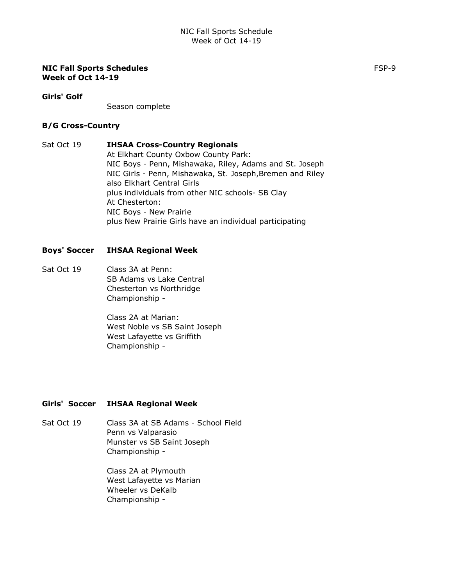#### NIC Fall Sports Schedules Formulation of the state of the state of the state of the state of the state of the state of the state of the state of the state of the state of the state of the state of the state of the state of Week of Oct 14-19

#### Girls' Golf

Season complete

#### B/G Cross-Country

Sat Oct 19 **IHSAA Cross-Country Regionals** At Elkhart County Oxbow County Park: NIC Boys - Penn, Mishawaka, Riley, Adams and St. Joseph NIC Girls - Penn, Mishawaka, St. Joseph,Bremen and Riley also Elkhart Central Girls plus individuals from other NIC schools- SB Clay At Chesterton: NIC Boys - New Prairie plus New Prairie Girls have an individual participating

### Boys' Soccer IHSAA Regional Week

Sat Oct 19 Class 3A at Penn: SB Adams vs Lake Central Chesterton vs Northridge Championship -

> Class 2A at Marian: West Noble vs SB Saint Joseph West Lafayette vs Griffith Championship -

### Girls' Soccer IHSAA Regional Week

Sat Oct 19 Class 3A at SB Adams - School Field Penn vs Valparasio Munster vs SB Saint Joseph Championship -

> Class 2A at Plymouth West Lafayette vs Marian Wheeler vs DeKalb Championship -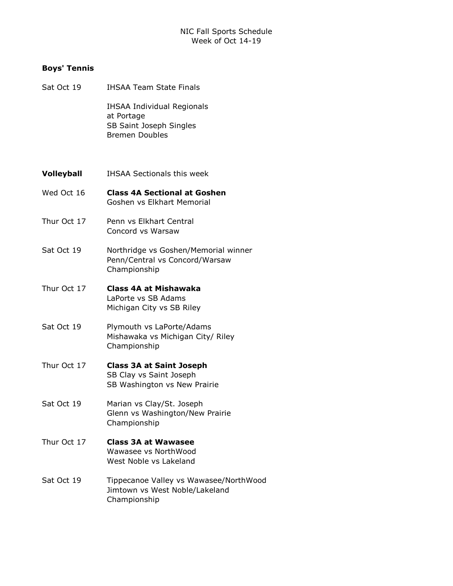### Boys' Tennis

- Sat Oct 19 **IHSAA Team State Finals** IHSAA Individual Regionals at Portage SB Saint Joseph Singles Bremen Doubles
- **Volleyball** IHSAA Sectionals this week
- Wed Oct 16 Class 4A Sectional at Goshen Goshen vs Elkhart Memorial
- Thur Oct 17 Penn vs Elkhart Central Concord vs Warsaw
- Sat Oct 19 Northridge vs Goshen/Memorial winner Penn/Central vs Concord/Warsaw Championship
- Thur Oct 17 **Class 4A at Mishawaka** LaPorte vs SB Adams Michigan City vs SB Riley
- Sat Oct 19 Plymouth vs LaPorte/Adams Mishawaka vs Michigan City/ Riley Championship
- Thur Oct 17 **Class 3A at Saint Joseph** SB Clay vs Saint Joseph SB Washington vs New Prairie
- Sat Oct 19 Marian vs Clay/St. Joseph Glenn vs Washington/New Prairie Championship
- Thur Oct 17 **Class 3A at Wawasee** Wawasee vs NorthWood West Noble vs Lakeland
- Sat Oct 19 Tippecanoe Valley vs Wawasee/NorthWood Jimtown vs West Noble/Lakeland Championship